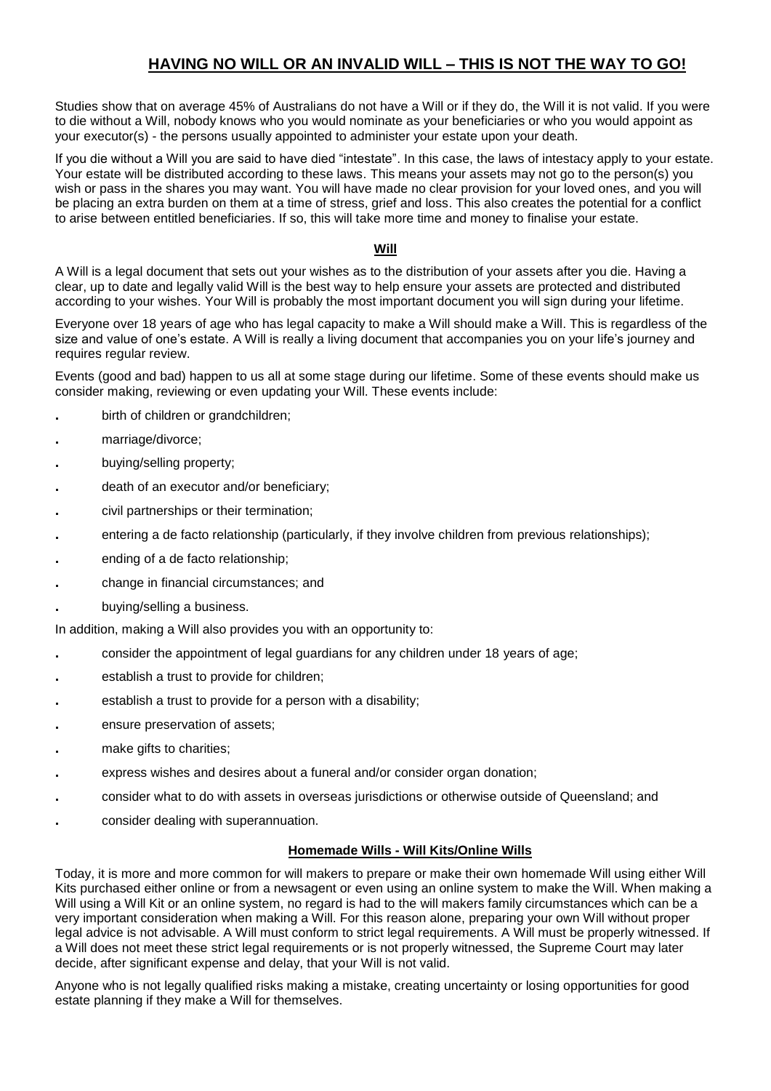## **HAVING NO WILL OR AN INVALID WILL – THIS IS NOT THE WAY TO GO!**

Studies show that on average 45% of Australians do not have a Will or if they do, the Will it is not valid. If you were to die without a Will, nobody knows who you would nominate as your beneficiaries or who you would appoint as your executor(s) - the persons usually appointed to administer your estate upon your death.

If you die without a Will you are said to have died "intestate". In this case, the laws of intestacy apply to your estate. Your estate will be distributed according to these laws. This means your assets may not go to the person(s) you wish or pass in the shares you may want. You will have made no clear provision for your loved ones, and you will be placing an extra burden on them at a time of stress, grief and loss. This also creates the potential for a conflict to arise between entitled beneficiaries. If so, this will take more time and money to finalise your estate.

## **Will**

A Will is a legal document that sets out your wishes as to the distribution of your assets after you die. Having a clear, up to date and legally valid Will is the best way to help ensure your assets are protected and distributed according to your wishes. Your Will is probably the most important document you will sign during your lifetime.

Everyone over 18 years of age who has legal capacity to make a Will should make a Will. This is regardless of the size and value of one's estate. A Will is really a living document that accompanies you on your life's journey and requires regular review.

Events (good and bad) happen to us all at some stage during our lifetime. Some of these events should make us consider making, reviewing or even updating your Will. These events include:

- **.** birth of children or grandchildren;
- **.** marriage/divorce;
- **.** buying/selling property;
- **.** death of an executor and/or beneficiary;
- **.** civil partnerships or their termination;
- **.** entering a de facto relationship (particularly, if they involve children from previous relationships);
- **.** ending of a de facto relationship;
- **.** change in financial circumstances; and
- **.** buying/selling a business.

In addition, making a Will also provides you with an opportunity to:

- **.** consider the appointment of legal guardians for any children under 18 years of age;
- **.** establish a trust to provide for children;
- **.** establish a trust to provide for a person with a disability;
- **.** ensure preservation of assets;
- **.** make gifts to charities;
- **.** express wishes and desires about a funeral and/or consider organ donation;
- **.** consider what to do with assets in overseas jurisdictions or otherwise outside of Queensland; and
- **.** consider dealing with superannuation.

## **Homemade Wills - Will Kits/Online Wills**

Today, it is more and more common for will makers to prepare or make their own homemade Will using either Will Kits purchased either online or from a newsagent or even using an online system to make the Will. When making a Will using a Will Kit or an online system, no regard is had to the will makers family circumstances which can be a very important consideration when making a Will. For this reason alone, preparing your own Will without proper legal advice is not advisable. A Will must conform to strict legal requirements. A Will must be properly witnessed. If a Will does not meet these strict legal requirements or is not properly witnessed, the Supreme Court may later decide, after significant expense and delay, that your Will is not valid.

Anyone who is not legally qualified risks making a mistake, creating uncertainty or losing opportunities for good estate planning if they make a Will for themselves.